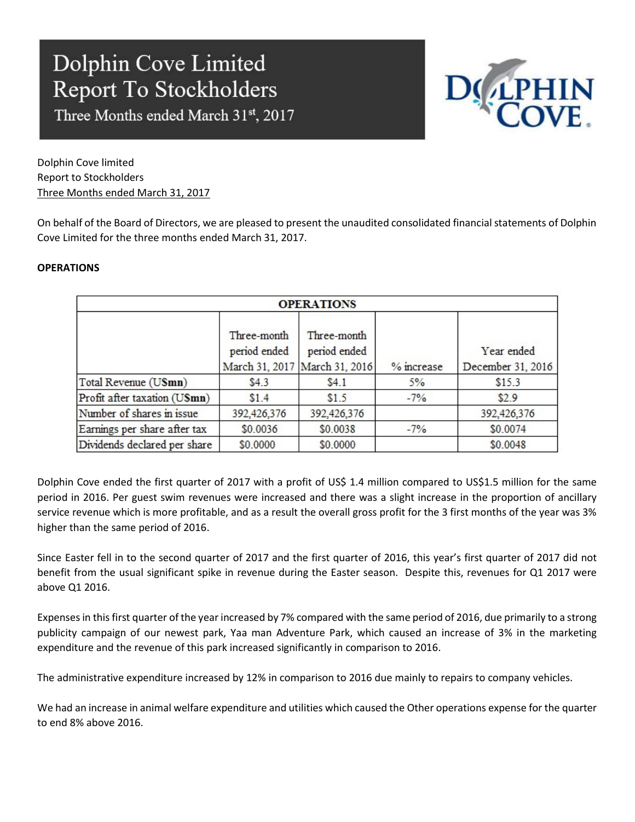Three Months ended March 31st, 2017



Dolphin Cove limited Report to Stockholders Three Months ended March 31, 2017

On behalf of the Board of Directors, we are pleased to present the unaudited consolidated financial statements of Dolphin Cove Limited for the three months ended March 31, 2017.

### **OPERATIONS**

| <b>OPERATIONS</b>            |                                                              |                             |            |                                 |  |  |
|------------------------------|--------------------------------------------------------------|-----------------------------|------------|---------------------------------|--|--|
|                              | Three-month<br>period ended<br>March 31, 2017 March 31, 2016 | Three-month<br>period ended | % increase | Year ended<br>December 31, 2016 |  |  |
| Total Revenue (USmn)         | \$4.3                                                        | \$4.1                       | 5%         | \$15.3                          |  |  |
| Profit after taxation (USmn) | \$1.4                                                        | \$1.5                       | $-7\%$     | \$2.9                           |  |  |
| Number of shares in issue    | 392,426,376                                                  | 392,426,376                 |            | 392,426,376                     |  |  |
| Earnings per share after tax | \$0.0036                                                     | \$0.0038                    | $-7%$      | \$0.0074                        |  |  |
| Dividends declared per share | \$0.0000                                                     | \$0.0000                    |            | \$0.0048                        |  |  |

Dolphin Cove ended the first quarter of 2017 with a profit of US\$ 1.4 million compared to US\$1.5 million for the same period in 2016. Per guest swim revenues were increased and there was a slight increase in the proportion of ancillary service revenue which is more profitable, and as a result the overall gross profit for the 3 first months of the year was 3% higher than the same period of 2016.

Since Easter fell in to the second quarter of 2017 and the first quarter of 2016, this year's first quarter of 2017 did not benefit from the usual significant spike in revenue during the Easter season. Despite this, revenues for Q1 2017 were above Q1 2016.

Expenses in this first quarter of the year increased by 7% compared with the same period of 2016, due primarily to a strong publicity campaign of our newest park, Yaa man Adventure Park, which caused an increase of 3% in the marketing expenditure and the revenue of this park increased significantly in comparison to 2016.

The administrative expenditure increased by 12% in comparison to 2016 due mainly to repairs to company vehicles.

We had an increase in animal welfare expenditure and utilities which caused the Other operations expense for the quarter to end 8% above 2016.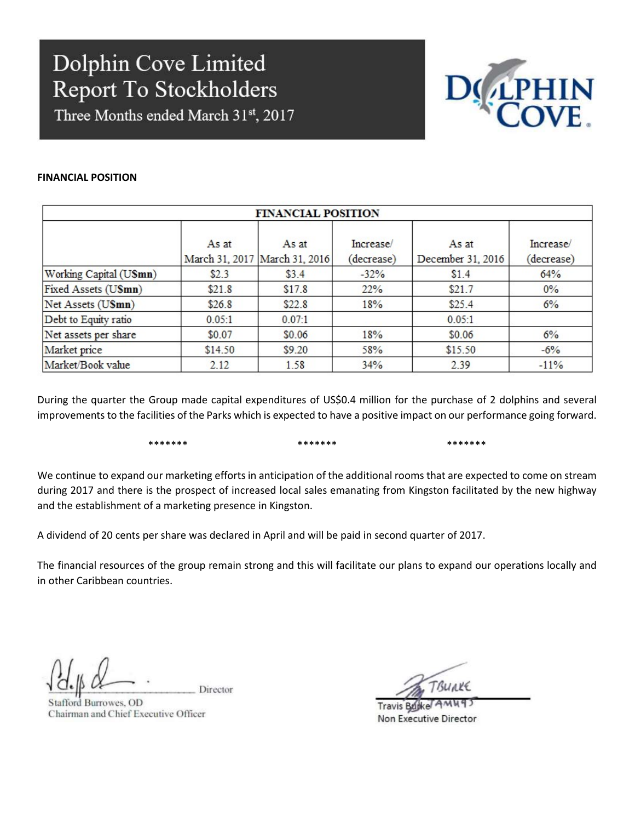Three Months ended March 31st, 2017



### FINANCIAL POSITION

| <b>FINANCIAL POSITION</b> |         |                                        |                         |                            |                         |  |
|---------------------------|---------|----------------------------------------|-------------------------|----------------------------|-------------------------|--|
|                           | As at   | As at<br>March 31, 2017 March 31, 2016 | Increase/<br>(decrease) | As at<br>December 31, 2016 | Increase/<br>(decrease) |  |
| Working Capital (USmn)    | \$2.3   | \$3.4                                  | $-32%$                  | \$1.4                      | 64%                     |  |
| Fixed Assets (USmn)       | \$21.8  | \$17.8                                 | 22%                     | \$21.7                     | $0\%$                   |  |
| Net Assets (USmn)         | \$26.8  | \$22.8                                 | 18%                     | \$25.4                     | 6%                      |  |
| Debt to Equity ratio      | 0.05:1  | 0.07:1                                 |                         | 0.05:1                     |                         |  |
| Net assets per share      | \$0.07  | \$0.06                                 | 18%                     | \$0.06                     | 6%                      |  |
| Market price              | \$14.50 | \$9.20                                 | 58%                     | \$15.50                    | $-6\%$                  |  |
| Market/Book value         | 2.12    | 1.58                                   | 34%                     | 2.39                       | $-11%$                  |  |

During the quarter the Group made capital expenditures of US\$0.4 million for the purchase of 2 dolphins and several improvements to the facilities of the Parks which is expected to have a positive impact on our performance going forward.

\*\*\*\*\*\*\* \*\*\*\*\*\*\* \*\*\*\*\*\*\*

We continue to expand our marketing efforts in anticipation of the additional rooms that are expected to come on stream during 2017 and there is the prospect of increased local sales emanating from Kingston facilitated by the new highway and the establishment of a marketing presence in Kingston.

A dividend of 20 cents per share was declared in April and will be paid in second quarter of 2017.

The financial resources of the group remain strong and this will facilitate our plans to expand our operations locally and in other Caribbean countries.

Director

Stafford Burrowes, OD Chairman and Chief Executive Officer

TBUAKE

**Travis Bujke** Non Executive Director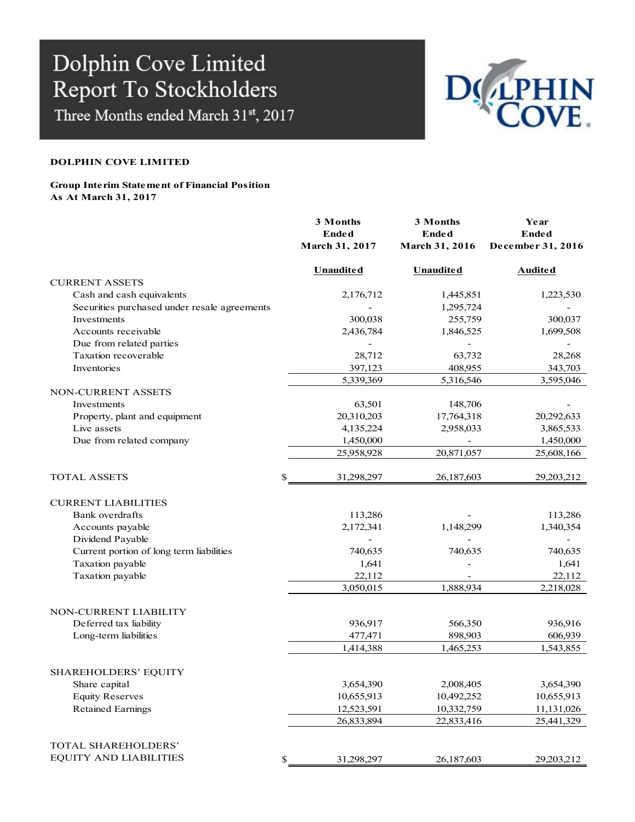Three Months ended March 31st, 2017



### DOLPHIN COVE LIMITED

#### Group Interim Statement of Financial Position As At March 31, 2017

|                                              | 3 Months         | 3 Months                 | Year                     |
|----------------------------------------------|------------------|--------------------------|--------------------------|
|                                              | Ended            | <b>Ended</b>             | <b>Ended</b>             |
|                                              | March 31, 2017   | March 31, 2016           | December 31, 2016        |
|                                              | <b>Unaudited</b> | <b>Unaudited</b>         | Audited                  |
| <b>CURRENT ASSETS</b>                        |                  |                          |                          |
| Cash and cash equivalents                    | 2,176,712        | 1,445,851                | 1,223,530                |
| Securities purchased under resale agreements |                  | 1,295,724                |                          |
| Investments                                  | 300,038          | 255,759                  | 300,037                  |
| Accounts receivable                          | 2,436,784        | 1,846,525                | 1,699,508                |
| Due from related parties                     |                  |                          |                          |
| Taxation recoverable                         | 28,712           | 63,732                   | 28,268                   |
| Inventories                                  | 397,123          | 408,955                  | 343,703                  |
|                                              | 5,339,369        | 5,316,546                | 3,595,046                |
| NON-CURRENT ASSETS                           |                  |                          |                          |
| Investments                                  | 63,501           | 148,706                  |                          |
| Property, plant and equipment                | 20,310,203       | 17,764,318               | 20,292,633               |
| Live assets                                  | 4,135,224        | 2,958,033                | 3,865,533                |
| Due from related company                     | 1,450,000        | $\overline{\phantom{a}}$ | 1,450,000                |
|                                              | 25,958,928       | 20,871,057               | 25,608,166               |
| <b>TOTAL ASSETS</b><br>\$.                   | 31,298,297       | 26,187,603               | 29,203,212               |
| <b>CURRENT LIABILITIES</b>                   |                  |                          |                          |
| Bank overdrafts                              | 113,286          |                          | 113,286                  |
| Accounts payable                             | 2,172,341        | 1,148,299                | 1,340,354                |
| Dividend Payable                             |                  |                          | $\overline{\phantom{a}}$ |
| Current portion of long term liabilities     | 740,635          | 740,635                  | 740,635                  |
| Taxation payable                             | 1,641            |                          | 1,641                    |
| Taxation payable                             | 22,112           |                          | 22,112                   |
|                                              | 3,050,015        | 1,888,934                | 2,218,028                |
| NON-CURRENT LIABILITY                        |                  |                          |                          |
| Deferred tax liability                       | 936,917          | 566,350                  | 936,916                  |
| Long-term liabilities                        | 477,471          | 898,903                  | 606,939                  |
|                                              | 1,414,388        | 1,465,253                | 1,543,855                |
| SHAREHOLDERS' EQUITY                         |                  |                          |                          |
| Share capital                                | 3,654,390        | 2,008,405                | 3,654,390                |
| <b>Equity Reserves</b>                       | 10,655,913       | 10,492,252               | 10,655,913               |
| <b>Retained Earnings</b>                     | 12,523,591       | 10,332,759               | 11,131,026               |
|                                              | 26,833,894       | 22,833,416               | 25,441,329               |
| TOTAL SHAREHOLDERS'                          |                  |                          |                          |
| <b>EQUITY AND LIABILITIES</b><br>\$          | 31,298,297       | 26,187,603               | 29,203,212               |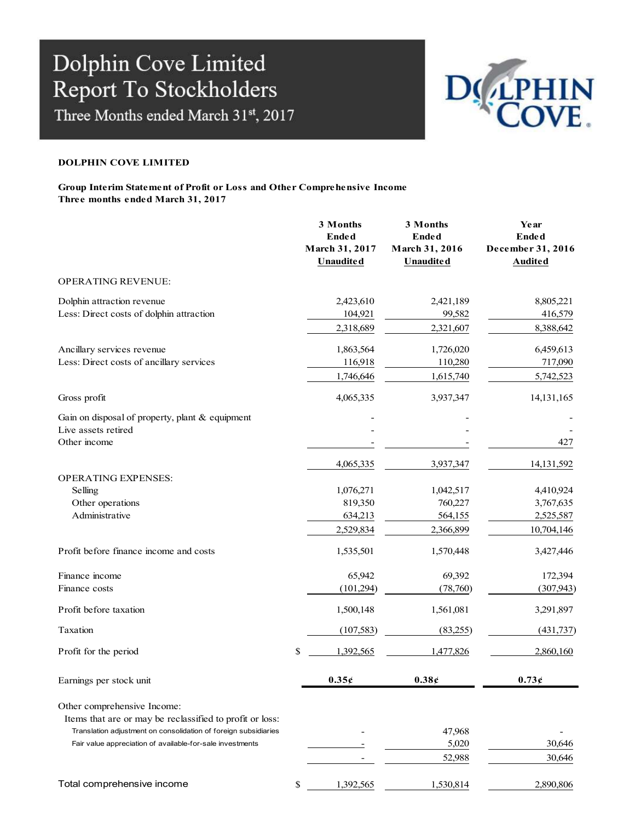Three Months ended March 31st, 2017



### DOLPHIN COVE LIMITED

#### Group Interim Statement of Profit or Loss and Other Comprehensive Income Three months ended March 31, 2017

|                                                                                                                                                                                                                         | 3 Months<br><b>Ended</b><br>March 31, 2017<br><b>Unaudited</b> | 3 Months<br><b>Ended</b><br>March 31, 2016<br><b>Unaudited</b> | Year<br><b>Ended</b><br>December 31, 2016<br><b>Audited</b>     |
|-------------------------------------------------------------------------------------------------------------------------------------------------------------------------------------------------------------------------|----------------------------------------------------------------|----------------------------------------------------------------|-----------------------------------------------------------------|
| <b>OPERATING REVENUE:</b>                                                                                                                                                                                               |                                                                |                                                                |                                                                 |
| Dolphin attraction revenue<br>Less: Direct costs of dolphin attraction                                                                                                                                                  | 2,423,610<br>104,921<br>2,318,689                              | 2,421,189<br>99,582<br>2,321,607                               | 8,805,221<br>416,579<br>8,388,642                               |
| Ancillary services revenue<br>Less: Direct costs of ancillary services                                                                                                                                                  | 1,863,564<br>116,918<br>1,746,646                              | 1,726,020<br>110,280<br>1,615,740                              | 6,459,613<br>717,090<br>5,742,523                               |
| Gross profit                                                                                                                                                                                                            | 4,065,335                                                      | 3,937,347                                                      | 14, 131, 165                                                    |
| Gain on disposal of property, plant & equipment<br>Live assets retired<br>Other income                                                                                                                                  |                                                                |                                                                | 427                                                             |
| <b>OPERATING EXPENSES:</b><br>Selling<br>Other operations<br>Administrative                                                                                                                                             | 4,065,335<br>1,076,271<br>819,350<br>634,213<br>2,529,834      | 3,937,347<br>1,042,517<br>760,227<br>564,155<br>2,366,899      | 14,131,592<br>4,410,924<br>3,767,635<br>2,525,587<br>10,704,146 |
| Profit before finance income and costs                                                                                                                                                                                  | 1,535,501                                                      | 1,570,448                                                      | 3,427,446                                                       |
| Finance income<br>Finance costs                                                                                                                                                                                         | 65,942<br>(101, 294)                                           | 69,392<br>(78,760)                                             | 172,394<br>(307, 943)                                           |
| Profit before taxation                                                                                                                                                                                                  | 1,500,148                                                      | 1,561,081                                                      | 3,291,897                                                       |
| Taxation                                                                                                                                                                                                                | (107, 583)                                                     | (83,255)                                                       | (431, 737)                                                      |
| Profit for the period                                                                                                                                                                                                   | \$<br>1,392,565                                                | 1,477,826                                                      | 2,860,160                                                       |
| Earnings per stock unit                                                                                                                                                                                                 | 0.35c                                                          | 0.38c                                                          | 0.73c                                                           |
| Other comprehensive Income:<br>Items that are or may be reclassified to profit or loss:<br>Translation adjustment on consolidation of foreign subsidiaries<br>Fair value appreciation of available-for-sale investments |                                                                | 47,968<br>5,020<br>52,988                                      | 30,646<br>30,646                                                |
| Total comprehensive income                                                                                                                                                                                              | \$<br>1,392,565                                                | 1,530,814                                                      | 2,890,806                                                       |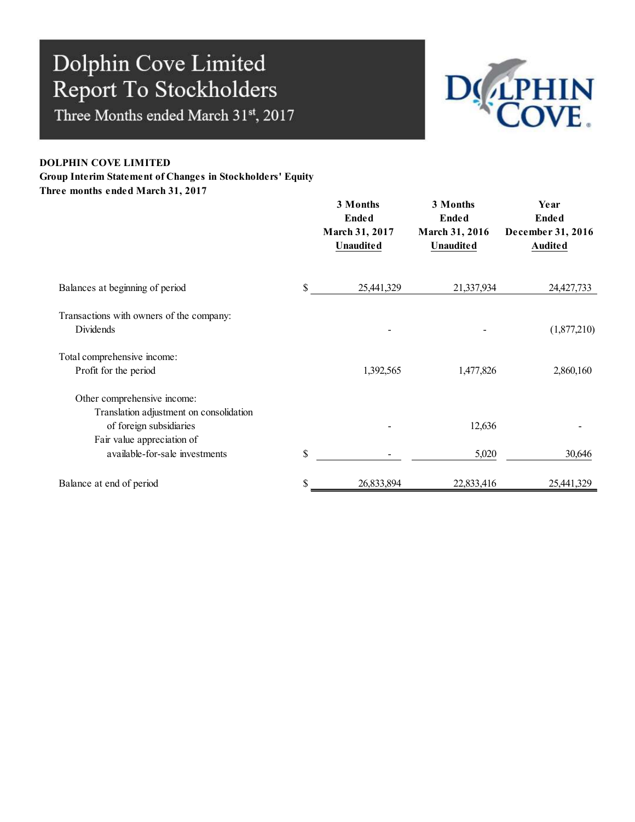Three Months ended March 31st, 2017



### DOLPHIN COVE LIMITED

### Group Interim Statement of Changes in Stockholders' Equity

Three months ended March 31, 2017

|                                                                                                   | 3 Months<br><b>Ended</b><br>March 31, 2017<br><b>Unaudited</b> | 3 Months<br><b>Ended</b><br>March 31, 2016<br><b>Unaudited</b> | Year<br>Ended<br>December 31, 2016<br>Audited |
|---------------------------------------------------------------------------------------------------|----------------------------------------------------------------|----------------------------------------------------------------|-----------------------------------------------|
| Balances at beginning of period                                                                   | \$<br>25,441,329                                               | 21,337,934                                                     | 24,427,733                                    |
| Transactions with owners of the company:<br>Dividends                                             |                                                                |                                                                | (1,877,210)                                   |
| Total comprehensive income:<br>Profit for the period                                              | 1,392,565                                                      | 1,477,826                                                      | 2,860,160                                     |
| Other comprehensive income:<br>Translation adjustment on consolidation<br>of foreign subsidiaries |                                                                | 12,636                                                         |                                               |
| Fair value appreciation of<br>available-for-sale investments                                      | \$                                                             | 5,020                                                          | 30,646                                        |
| Balance at end of period                                                                          | 26,833,894                                                     | 22,833,416                                                     | 25,441,329                                    |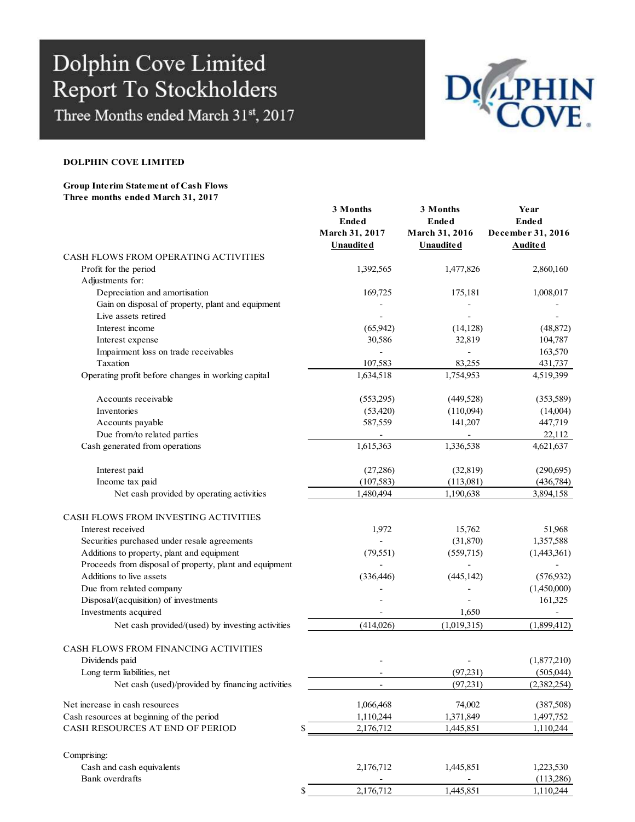Three Months ended March 31st, 2017



#### DOLPHIN COVE LIMITED

#### Group Interim Statement of Cash Flows Three months ended March 31, 2017

|                                                         | 3 Months                     | 3 Months         | Year                     |
|---------------------------------------------------------|------------------------------|------------------|--------------------------|
|                                                         | <b>Ended</b>                 | <b>Ended</b>     | <b>Ended</b>             |
|                                                         | March 31, 2017               | March 31, 2016   | December 31, 2016        |
|                                                         | <b>Unaudited</b>             | <b>Unaudited</b> | <b>Audited</b>           |
| CASH FLOWS FROM OPERATING ACTIVITIES                    |                              |                  |                          |
| Profit for the period                                   | 1,392,565                    | 1,477,826        | 2,860,160                |
| Adjustments for:                                        |                              |                  |                          |
| Depreciation and amortisation                           | 169,725                      | 175,181          | 1,008,017                |
| Gain on disposal of property, plant and equipment       |                              |                  |                          |
| Live assets retired                                     |                              |                  |                          |
| Interest income                                         | (65, 942)                    | (14, 128)        | (48, 872)                |
| Interest expense                                        | 30,586                       | 32,819           | 104,787                  |
| Impairment loss on trade receivables                    |                              |                  | 163,570                  |
| Taxation                                                | 107,583                      | 83,255           | 431,737                  |
| Operating profit before changes in working capital      | 1,634,518                    | 1,754,953        | 4,519,399                |
|                                                         |                              |                  |                          |
| Accounts receivable                                     | (553,295)                    | (449, 528)       | (353,589)                |
| <b>Inventories</b>                                      | (53, 420)                    | (110,094)        | (14,004)                 |
| Accounts payable                                        | 587,559                      | 141,207          | 447,719                  |
| Due from/to related parties                             |                              |                  | 22,112                   |
| Cash generated from operations                          | 1,615,363                    | 1,336,538        | 4,621,637                |
|                                                         |                              |                  |                          |
| Interest paid                                           | (27,286)                     | (32, 819)        | (290,695)                |
| Income tax paid                                         | (107, 583)                   | (113,081)        | (436,784)                |
| Net cash provided by operating activities               | 1,480,494                    | 1,190,638        | 3,894,158                |
|                                                         |                              |                  |                          |
| CASH FLOWS FROM INVESTING ACTIVITIES                    |                              |                  |                          |
| Interest received                                       | 1,972                        | 15,762           | 51,968                   |
| Securities purchased under resale agreements            |                              | (31,870)         | 1,357,588                |
| Additions to property, plant and equipment              | (79, 551)                    | (559,715)        | (1,443,361)              |
| Proceeds from disposal of property, plant and equipment |                              |                  | $\overline{\phantom{a}}$ |
| Additions to live assets                                | (336, 446)                   | (445, 142)       | (576, 932)               |
| Due from related company                                |                              |                  | (1,450,000)              |
| Disposal/(acquisition) of investments                   |                              |                  |                          |
| Investments acquired                                    |                              | 1,650            | 161,325                  |
|                                                         |                              |                  | $\overline{a}$           |
| Net cash provided/(used) by investing activities        | (414,026)                    | (1,019,315)      | (1,899,412)              |
|                                                         |                              |                  |                          |
| CASH FLOWS FROM FINANCING ACTIVITIES                    |                              |                  |                          |
| Dividends paid                                          |                              |                  | (1,877,210)              |
| Long term liabilities, net                              | $\qquad \qquad \blacksquare$ | (97, 231)        | (505,044)                |
| Net cash (used)/provided by financing activities        |                              | (97, 231)        | (2,382,254)              |
| Net increase in cash resources                          | 1,066,468                    | 74,002           | (387,508)                |
|                                                         | 1,110,244                    | 1,371,849        |                          |
| Cash resources at beginning of the period               |                              |                  | 1,497,752                |
| CASH RESOURCES AT END OF PERIOD                         | \$<br>2,176,712              | 1,445,851        | 1,110,244                |
|                                                         |                              |                  |                          |
| Comprising:                                             |                              |                  |                          |
| Cash and cash equivalents                               | 2,176,712                    | 1,445,851        | 1,223,530                |
| Bank overdrafts                                         |                              |                  | (113,286)                |
|                                                         | \$<br>2,176,712              | 1,445,851        | 1,110,244                |